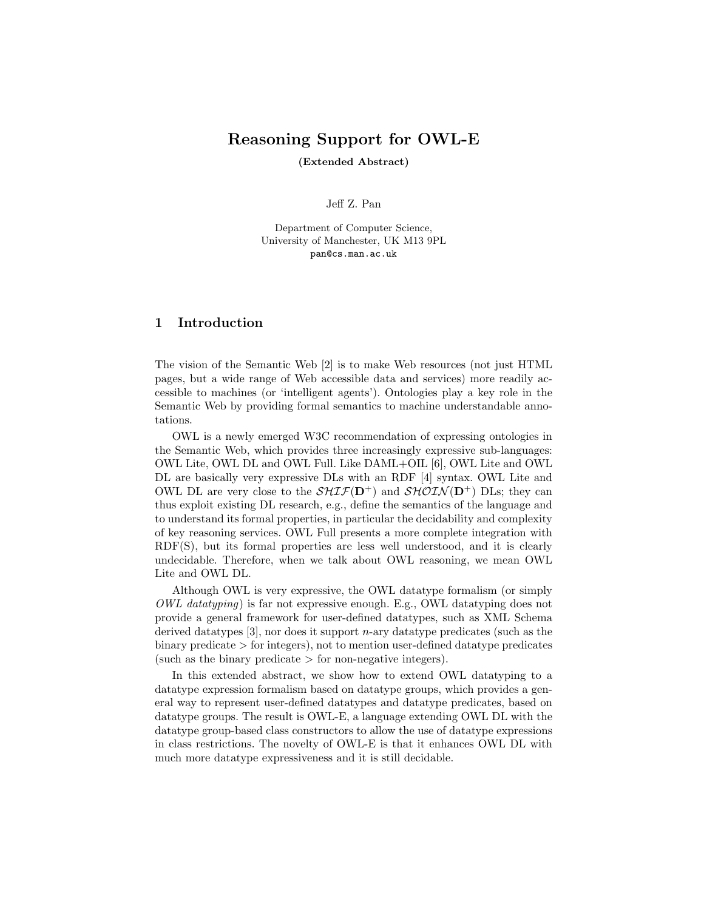## Reasoning Support for OWL-E

(Extended Abstract)

Jeff Z. Pan

Department of Computer Science, University of Manchester, UK M13 9PL pan@cs.man.ac.uk

### 1 Introduction

The vision of the Semantic Web [2] is to make Web resources (not just HTML pages, but a wide range of Web accessible data and services) more readily accessible to machines (or 'intelligent agents'). Ontologies play a key role in the Semantic Web by providing formal semantics to machine understandable annotations.

OWL is a newly emerged W3C recommendation of expressing ontologies in the Semantic Web, which provides three increasingly expressive sub-languages: OWL Lite, OWL DL and OWL Full. Like DAML+OIL [6], OWL Lite and OWL DL are basically very expressive DLs with an RDF [4] syntax. OWL Lite and OWL DL are very close to the  $\mathcal{SHT}(\mathbf{D}^+)$  and  $\mathcal{SHOLN}(\mathbf{D}^+)$  DLs; they can thus exploit existing DL research, e.g., define the semantics of the language and to understand its formal properties, in particular the decidability and complexity of key reasoning services. OWL Full presents a more complete integration with RDF(S), but its formal properties are less well understood, and it is clearly undecidable. Therefore, when we talk about OWL reasoning, we mean OWL Lite and OWL DL.

Although OWL is very expressive, the OWL datatype formalism (or simply *OWL datatyping*) is far not expressive enough. E.g., OWL datatyping does not provide a general framework for user-defined datatypes, such as XML Schema derived datatypes  $[3]$ , nor does it support *n*-ary datatype predicates (such as the binary predicate > for integers), not to mention user-defined datatype predicates (such as the binary predicate  $>$  for non-negative integers).

In this extended abstract, we show how to extend OWL datatyping to a datatype expression formalism based on datatype groups, which provides a general way to represent user-defined datatypes and datatype predicates, based on datatype groups. The result is OWL-E, a language extending OWL DL with the datatype group-based class constructors to allow the use of datatype expressions in class restrictions. The novelty of OWL-E is that it enhances OWL DL with much more datatype expressiveness and it is still decidable.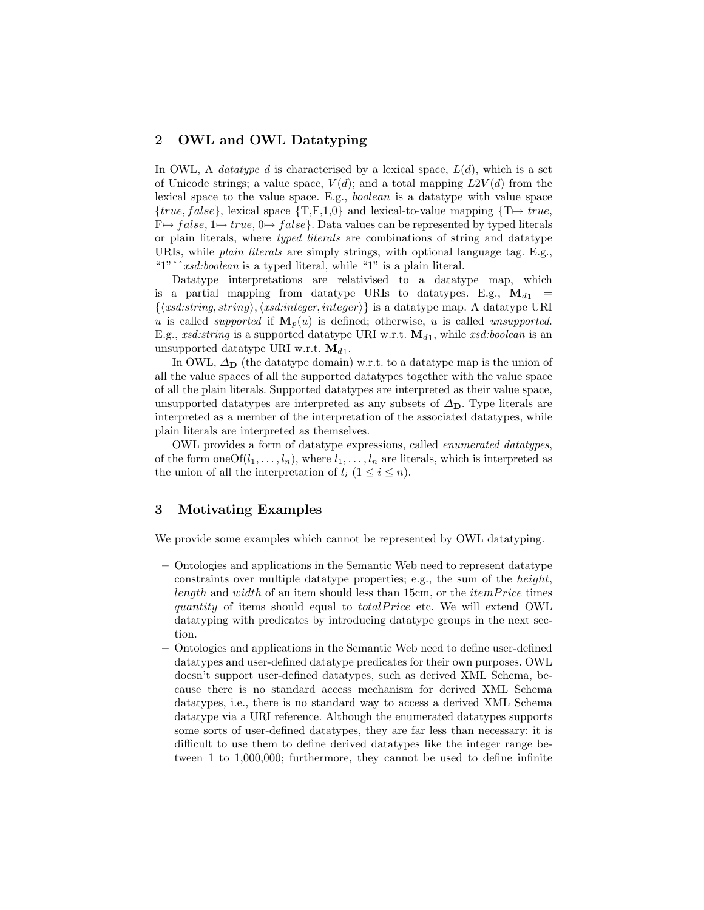#### 2 OWL and OWL Datatyping

In OWL, A *datatype d* is characterised by a lexical space,  $L(d)$ , which is a set of Unicode strings; a value space,  $V(d)$ ; and a total mapping  $L2V(d)$  from the lexical space to the value space. E.g., boolean is a datatype with value space  ${true, false}$ , lexical space  ${T,F,1,0}$  and lexical-to-value mapping  ${T \mapsto true}$ ,  $F \mapsto false$ ,  $1 \mapsto true$ ,  $0 \mapsto false$ . Data values can be represented by typed literals or plain literals, where typed literals are combinations of string and datatype URIs, while plain literals are simply strings, with optional language tag. E.g., "1" $\hat{i}$ xsd:boolean is a typed literal, while "1" is a plain literal.

Datatype interpretations are relativised to a datatype map, which is a partial mapping from datatype URIs to datatypes. E.g.,  $\mathbf{M}_{d1}$  =  $\{\langle xsd:string, string \rangle, \langle xsd:integer, integer \rangle\}$  is a datatype map. A datatype URI u is called *supported* if  $\mathbf{M}_p(u)$  is defined; otherwise, u is called unsupported. E.g., xsd:string is a supported datatype URI w.r.t.  $\mathbf{M}_{d_1}$ , while xsd:boolean is an unsupported datatype URI w.r.t.  $\mathbf{M}_{d1}$ .

In OWL,  $\Delta_{\mathbf{D}}$  (the datatype domain) w.r.t. to a datatype map is the union of all the value spaces of all the supported datatypes together with the value space of all the plain literals. Supported datatypes are interpreted as their value space, unsupported datatypes are interpreted as any subsets of  $\Delta_{D}$ . Type literals are interpreted as a member of the interpretation of the associated datatypes, while plain literals are interpreted as themselves.

OWL provides a form of datatype expressions, called enumerated datatypes, of the form one Of $(l_1, \ldots, l_n)$ , where  $l_1, \ldots, l_n$  are literals, which is interpreted as the union of all the interpretation of  $l_i$   $(1 \leq i \leq n)$ .

#### 3 Motivating Examples

We provide some examples which cannot be represented by OWL datatyping.

- Ontologies and applications in the Semantic Web need to represent datatype constraints over multiple datatype properties; e.g., the sum of the height, length and width of an item should less than 15cm, or the *itemPrice* times quantity of items should equal to *totalPrice* etc. We will extend OWL datatyping with predicates by introducing datatype groups in the next section.
- Ontologies and applications in the Semantic Web need to define user-defined datatypes and user-defined datatype predicates for their own purposes. OWL doesn't support user-defined datatypes, such as derived XML Schema, because there is no standard access mechanism for derived XML Schema datatypes, i.e., there is no standard way to access a derived XML Schema datatype via a URI reference. Although the enumerated datatypes supports some sorts of user-defined datatypes, they are far less than necessary: it is difficult to use them to define derived datatypes like the integer range between 1 to 1,000,000; furthermore, they cannot be used to define infinite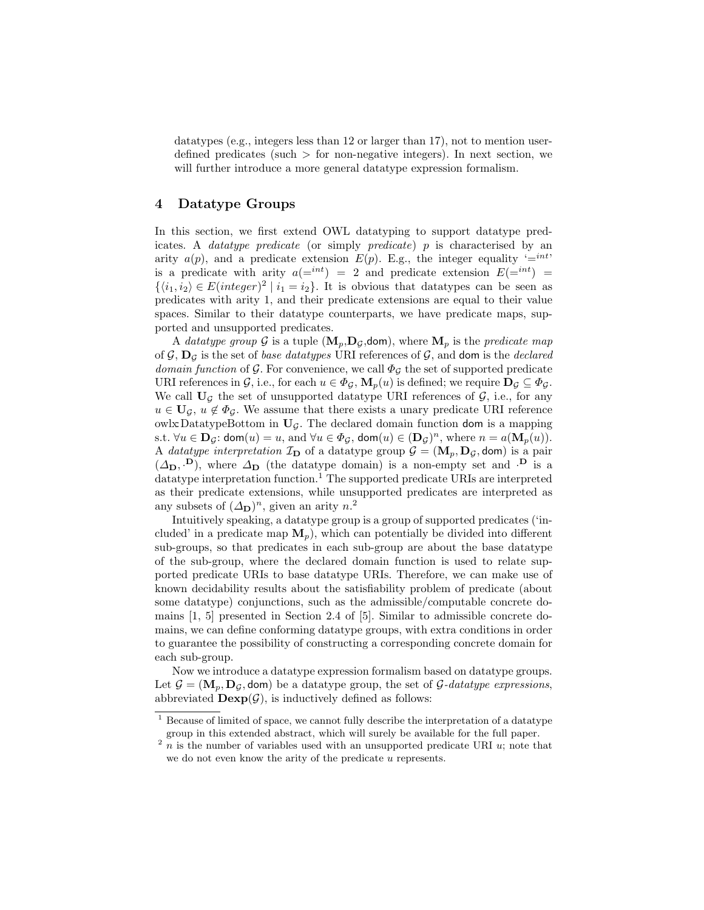datatypes (e.g., integers less than 12 or larger than 17), not to mention userdefined predicates (such  $>$  for non-negative integers). In next section, we will further introduce a more general datatype expression formalism.

#### 4 Datatype Groups

In this section, we first extend OWL datatyping to support datatype predicates. A *datatype predicate* (or simply *predicate*) p is characterised by an arity  $a(p)$ , and a predicate extension  $E(p)$ . E.g., the integer equality '=<sup>int'</sup> is a predicate with arity  $a(e^{int}) = 2$  and predicate extension  $E(e^{int}) =$  $\{\langle i_1, i_2 \rangle \in E(integer)^2 \mid i_1 = i_2\}.$  It is obvious that datatypes can be seen as predicates with arity 1, and their predicate extensions are equal to their value spaces. Similar to their datatype counterparts, we have predicate maps, supported and unsupported predicates.

A datatype group G is a tuple  $(\mathbf{M}_p, \mathbf{D}_q, \text{dom})$ , where  $\mathbf{M}_p$  is the predicate map of  $\mathcal{G}, \mathbf{D}_{\mathcal{G}}$  is the set of *base datatypes* URI references of  $\mathcal{G}$ , and **dom** is the *declared domain function* of G. For convenience, we call  $\Phi_G$  the set of supported predicate URI references in G, i.e., for each  $u \in \Phi_{\mathcal{G}}, \mathbf{M}_p(u)$  is defined; we require  $\mathbf{D}_{\mathcal{G}} \subseteq \Phi_{\mathcal{G}}$ . We call  $U_{\mathcal{G}}$  the set of unsupported datatype URI references of  $\mathcal{G}$ , i.e., for any  $u \in U_{\mathcal{G}}$ ,  $u \notin \Phi_{\mathcal{G}}$ . We assume that there exists a unary predicate URI reference owlx:DatatypeBottom in  $U_{\mathcal{G}}$ . The declared domain function dom is a mapping s.t.  $\forall u \in \mathbf{D}_{\mathcal{G}}$ : dom $(u) = u$ , and  $\forall u \in \Phi_{\mathcal{G}}$ , dom $(u) \in (\mathbf{D}_{\mathcal{G}})^n$ , where  $n = a(\mathbf{M}_p(u))$ . A *datatype interpretation*  $\mathcal{I}_D$  of a datatype group  $\mathcal{G} = (\mathbf{M}_p, \mathbf{D}_q, \mathbf{dom})$  is a pair  $(\Delta_{\mathbf{D}}, \mathbf{D})$ , where  $\Delta_{\mathbf{D}}$  (the datatype domain) is a non-empty set and  $\mathbf{D}$  is a datatype interpretation function.<sup>1</sup> The supported predicate URIs are interpreted as their predicate extensions, while unsupported predicates are interpreted as any subsets of  $(\Delta_{\mathbf{D}})^n$ , given an arity  $n^2$ .

Intuitively speaking, a datatype group is a group of supported predicates ('included' in a predicate map  $M_p$ ), which can potentially be divided into different sub-groups, so that predicates in each sub-group are about the base datatype of the sub-group, where the declared domain function is used to relate supported predicate URIs to base datatype URIs. Therefore, we can make use of known decidability results about the satisfiability problem of predicate (about some datatype) conjunctions, such as the admissible/computable concrete domains [1, 5] presented in Section 2.4 of [5]. Similar to admissible concrete domains, we can define conforming datatype groups, with extra conditions in order to guarantee the possibility of constructing a corresponding concrete domain for each sub-group.

Now we introduce a datatype expression formalism based on datatype groups. Let  $\mathcal{G} = (\mathbf{M}_n, \mathbf{D}_G, \text{dom})$  be a datatype group, the set of  $\mathcal{G}\text{-}datatype$  expressions, abbreviated  $\mathbf{Dexp}(\mathcal{G})$ , is inductively defined as follows:

 $1$  Because of limited of space, we cannot fully describe the interpretation of a datatype group in this extended abstract, which will surely be available for the full paper.

 $2 n$  is the number of variables used with an unsupported predicate URI u; note that we do not even know the arity of the predicate u represents.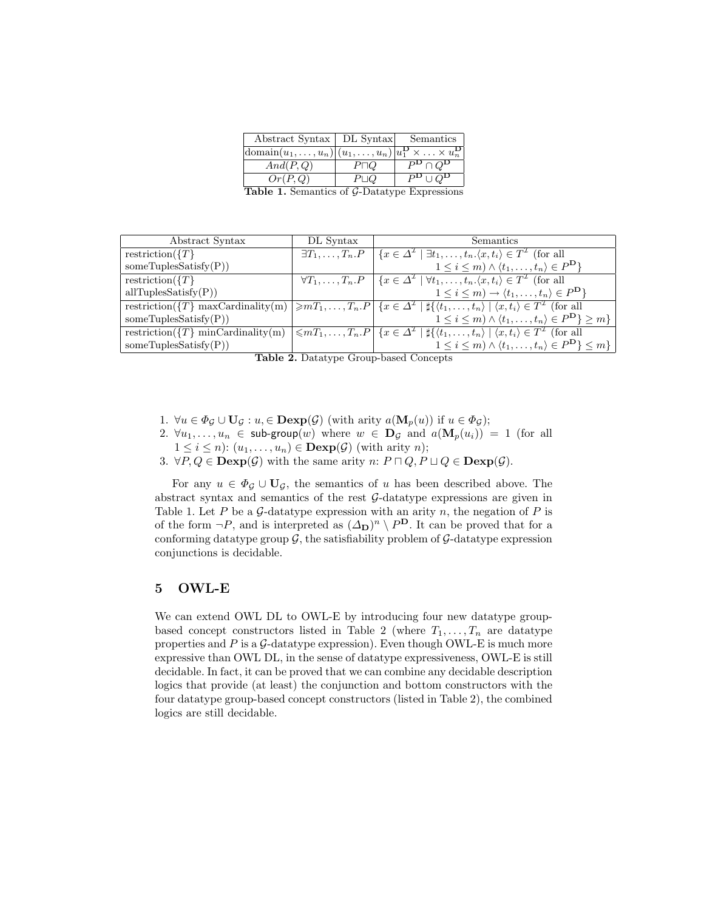| Abstract Syntax   DL Syntax   Semantics                                                                      |              |                                      |  |
|--------------------------------------------------------------------------------------------------------------|--------------|--------------------------------------|--|
| $ \text{domain}(u_1, \ldots, u_n) (u_1, \ldots, u_n) u_1^{\mathbf{D}} \times \ldots \times u_n^{\mathbf{D}}$ |              |                                      |  |
| And(P,Q)                                                                                                     | $P\Box Q$    | $P^{\bf D}\cap Q^{\bf D}$            |  |
| Or(P,Q)                                                                                                      | $P \sqcup Q$ | $P^{\mathbf{D}} \cup Q^{\mathbf{D}}$ |  |
| $\alpha$ , $\alpha$ , $\alpha$                                                                               |              |                                      |  |

Table 1. Semantics of G-Datatype Expressions

| Abstract Syntax           | DL Syntax                  | Semantics                                                                                                                                                                                        |
|---------------------------|----------------------------|--------------------------------------------------------------------------------------------------------------------------------------------------------------------------------------------------|
| restriction( $\{T\}$      | $\exists T_1,\ldots,T_n.P$ | $\{x \in \Delta^{\mathcal{I}} \mid \exists t_1, \ldots, t_n.\langle x, t_i \rangle \in T^{\mathcal{I}} \text{ (for all }$                                                                        |
| someTuplesSatisfy $(P)$ ) |                            | $1 \leq i \leq m$ ) $\wedge \langle t_1, \ldots, t_n \rangle \in P^{\mathbf{D}}$                                                                                                                 |
| restriction( $\{T\}$      |                            | $\overline{\forall T_1,\ldots,T_n.P}$ $\overline{\{x \in \Delta^{\mathcal{I}} \mid \forall t_1,\ldots,t_n.\langle x,t_i\rangle \in T^{\mathcal{I}}}$ (for all                                    |
| allTuplesSatisfy(P))      |                            | $1 \leq i \leq m$ ) $\rightarrow \langle t_1, \ldots, t_n \rangle \in P^{\mathbf{D}}$                                                                                                            |
|                           |                            | restriction({T} maxCardinality(m) $\geq mT_1,\ldots,T_n.P$ { $x \in \Delta^{\mathcal{I}}$   { $\langle t_1,\ldots,t_n \rangle$   $\langle x,t_i \rangle \in T^{\mathcal{I}}$ (for all            |
| someTuplesSatisfy $(P)$ ) |                            | $1 \leq i \leq m$ ) $\wedge \langle t_1, \ldots, t_n \rangle \in P^{\mathbf{D}} \geq m$                                                                                                          |
|                           |                            | restriction( $\{T\}$ minCardinality(m) $\leq mT_1,\ldots,T_n.P\mid \{x\in\Delta^{\mathcal{I}}\mid \sharp\{\langle t_1,\ldots,t_n\rangle\mid \langle x,t_i\rangle\in T^{\mathcal{I}}\}\$ (for all |
| someTuplesSatisfy $(P)$ ) | $\sim$                     | $1 \leq i \leq m) \wedge \langle t_1, \ldots, t_n \rangle \in P^{\mathbf{D}} \} \leq m$<br>$\sim$ $\sim$                                                                                         |

Table 2. Datatype Group-based Concepts

- 1.  $\forall u \in \Phi_{\mathcal{G}} \cup \mathbf{U}_{\mathcal{G}} : u \in \mathbf{Dexp}(\mathcal{G})$  (with arity  $a(\mathbf{M}_p(u))$  if  $u \in \Phi_{\mathcal{G}}$ );
- 2.  $\forall u_1, \ldots, u_n \in \text{sub-group}(w)$  where  $w \in \mathbf{D}_{\mathcal{G}}$  and  $a(\mathbf{M}_p(u_i)) = 1$  (for all
- $1 \leq i \leq n$ :  $(u_1, \ldots, u_n) \in \mathbf{Dexp}(\mathcal{G})$  (with arity n);
- 3.  $\forall P, Q \in \mathbf{Dexp}(\mathcal{G})$  with the same arity  $n: P \sqcap Q, P \sqcup Q \in \mathbf{Dexp}(\mathcal{G})$ .

For any  $u \in \Phi_G \cup \mathbf{U}_G$ , the semantics of u has been described above. The abstract syntax and semantics of the rest G-datatype expressions are given in Table 1. Let P be a  $\mathcal{G}$ -datatype expression with an arity n, the negation of P is of the form  $\neg P$ , and is interpreted as  $(\Delta_{\mathbf{D}})^n \setminus P^{\mathbf{D}}$ . It can be proved that for a conforming datatype group  $\mathcal{G}$ , the satisfiability problem of  $\mathcal{G}$ -datatype expression conjunctions is decidable.

#### 5 OWL-E

We can extend OWL DL to OWL-E by introducing four new datatype groupbased concept constructors listed in Table 2 (where  $T_1, \ldots, T_n$  are datatype properties and  $P$  is a  $G$ -datatype expression). Even though OWL-E is much more expressive than OWL DL, in the sense of datatype expressiveness, OWL-E is still decidable. In fact, it can be proved that we can combine any decidable description logics that provide (at least) the conjunction and bottom constructors with the four datatype group-based concept constructors (listed in Table 2), the combined logics are still decidable.